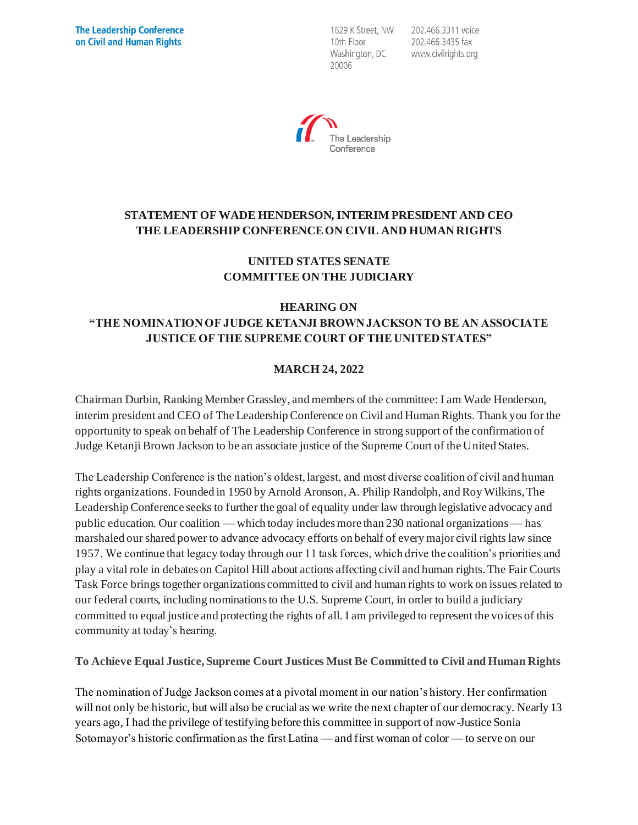1629 K Street, NW 10th Floor Washington, DC 20006

202.466.3311 voice 202.466.3435 fax www.civilrights.org



# **STATEMENT OF WADE HENDERSON, INTERIM PRESIDENT AND CEO THE LEADERSHIP CONFERENCE ON CIVIL AND HUMAN RIGHTS**

## **UNITED STATES SENATE COMMITTEE ON THE JUDICIARY**

#### **HEARING ON "THE NOMINATION OF JUDGE KETANJI BROWN JACKSON TO BE AN ASSOCIATE JUSTICE OF THE SUPREME COURT OF THE UNITED STATES"**

## **MARCH 24, 2022**

Chairman Durbin, Ranking Member Grassley, and members of the committee: I am Wade Henderson, interim president and CEO of The Leadership Conference on Civil and Human Rights. Thank you for the opportunity to speak on behalf of The Leadership Conference in strong support of the confirmation of Judge Ketanji Brown Jackson to be an associate justice of the Supreme Court of the United States.

The Leadership Conference is the nation's oldest, largest, and most diverse coalition of civil and human rights organizations. Founded in 1950 by Arnold Aronson, A. Philip Randolph, and Roy Wilkins, The Leadership Conference seeks to further the goal of equality under law through legislative advocacy and public education. Our coalition — which today includes more than 230 national organizations — has marshaled our shared power to advance advocacy efforts on behalf of every major civil rights law since 1957. We continue that legacy today through our 11 task forces, which drive the coalition's priorities and play a vital role in debates on Capitol Hill about actions affecting civil and human rights. The Fair Courts Task Force brings together organizations committed to civil and human rights to work on issues related to our federal courts, including nominations to the U.S. Supreme Court, in order to build a judiciary committed to equal justice and protecting the rights of all. I am privileged to represent the voices of this community at today's hearing.

**To Achieve Equal Justice, Supreme Court Justices Must Be Committed to Civil and Human Rights**

The nomination of Judge Jackson comes at a pivotal moment in our nation's history. Her confirmation will not only be historic, but will also be crucial as we write the next chapter of our democracy. Nearly 13 years ago, I had the privilege of testifying before this committee in support of now-Justice Sonia Sotomayor's historic confirmation as the first Latina — and first woman of color — to serve on our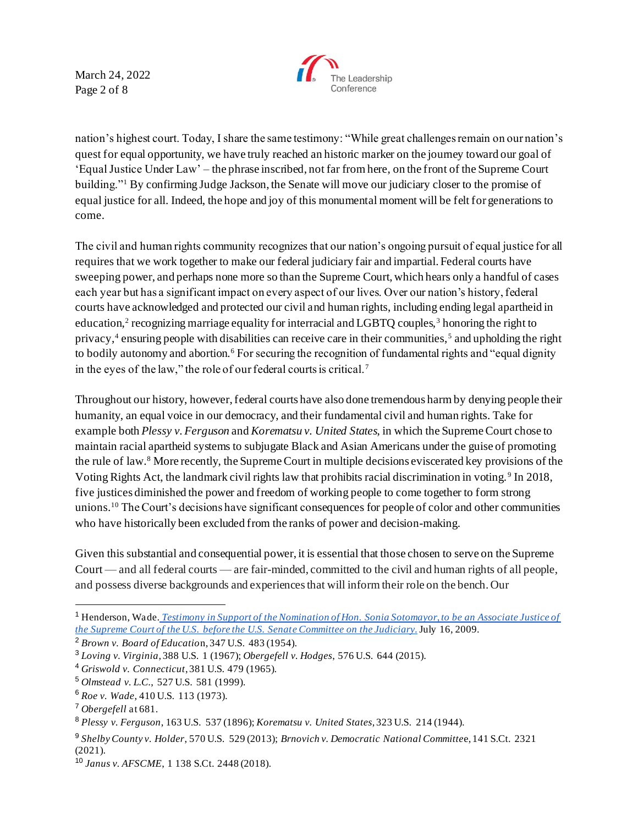March 24, 2022 Page 2 of 8



nation's highest court. Today, I share the same testimony: "While great challenges remain on our nation's quest for equal opportunity, we have truly reached an historic marker on the journey toward our goal of 'Equal Justice Under Law' – the phrase inscribed, not far from here, on the front of the Supreme Court building."<sup>1</sup> By confirming Judge Jackson, the Senate will move our judiciary closer to the promise of equal justice for all. Indeed, the hope and joy of this monumental moment will be felt for generations to come.

The civil and human rights community recognizes that our nation's ongoing pursuit of equal justice for all requires that we work together to make our federal judiciary fair and impartial. Federal courts have sweeping power, and perhaps none more so than the Supreme Court, which hears only a handful of cases each year but has a significant impact on every aspect of our lives. Over our nation's history, federal courts have acknowledged and protected our civil and human rights, including ending legal apartheid in education,<sup>2</sup> recognizing marriage equality for interracial and LGBTQ couples,<sup>3</sup> honoring the right to privacy,<sup>4</sup> ensuring people with disabilities can receive care in their communities,<sup>5</sup> and upholding the right to bodily autonomy and abortion.<sup>6</sup> For securing the recognition of fundamental rights and "equal dignity" in the eyes of the law," the role of our federal courts is critical.<sup>7</sup>

Throughout our history, however, federal courts have also done tremendous harm by denying people their humanity, an equal voice in our democracy, and their fundamental civil and human rights. Take for example both *Plessy v. Ferguson* and *Korematsu v. United States*, in which the Supreme Court chose to maintain racial apartheid systems to subjugate Black and Asian Americans under the guise of promoting the rule of law.<sup>8</sup> More recently, the Supreme Court in multiple decisions eviscerated key provisions of the Voting Rights Act, the landmark civil rights law that prohibits racial discrimination in voting.<sup>9</sup> In 2018, five justices diminished the power and freedom of working people to come together to form strong unions.<sup>10</sup> The Court's decisions have significant consequences for people of color and other communities who have historically been excluded from the ranks of power and decision-making.

Given this substantial and consequential power, it is essential that those chosen to serve on the Supreme Court — and all federal courts — are fair-minded, committed to the civil and human rights of all people, and possess diverse backgrounds and experiences that will inform their role on the bench. Our

<sup>1</sup> Henderson, Wade. *Testimony in Support of the Nomination of Hon. Sonia Sotomayor, to be an Associate Justice of the Supreme Court of the U.S. before the U.S. Senate Committee on the Judiciary.*July 16, 2009.

<sup>2</sup> *Brown v. Board of Educatio*n, 347 U.S. 483 (1954).

<sup>3</sup> *Loving v. Virginia*, 388 U.S. 1 (1967); *Obergefell v. Hodges*, 576 U.S. 644 (2015).

<sup>4</sup> *Griswold v. Connecticut*, 381 U.S. 479 (1965).

<sup>5</sup> *Olmstead v. L.C.*, 527 U.S. 581 (1999).

<sup>6</sup> *Roe v. Wade*, 410 U.S. 113 (1973).

<sup>7</sup> *Obergefell* at 681.

<sup>8</sup> *Plessy v. Ferguson*, 163 U.S. 537 (1896); *Korematsu v. United States*, 323 U.S. 214 (1944).

<sup>9</sup> *Shelby County v. Holder*, 570 U.S. 529 (2013); *Brnovich v. Democratic National Committe*e, 141 S.Ct. 2321 (2021).

<sup>10</sup> *Janus v. AFSCME*, 1 138 S.Ct. 2448 (2018).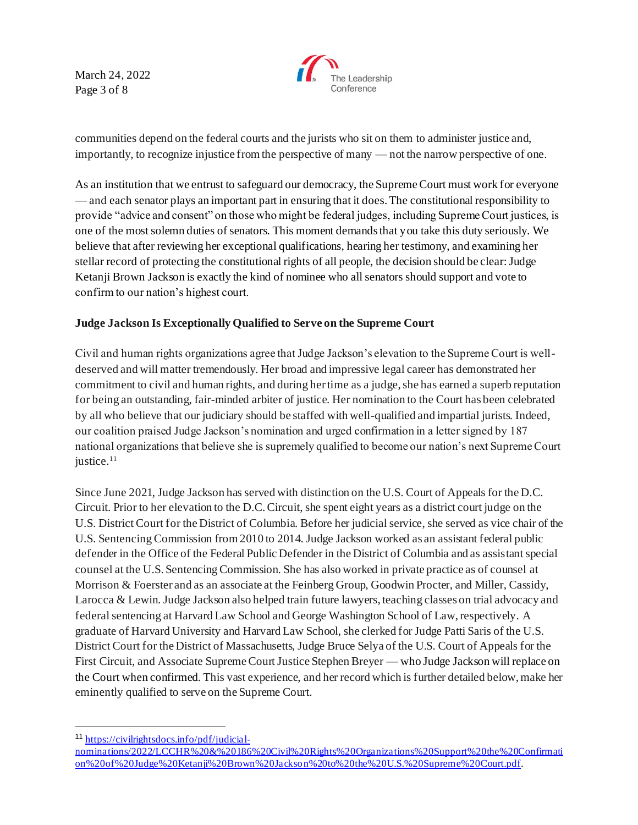March 24, 2022 Page 3 of 8



communities depend on the federal courts and the jurists who sit on them to administer justice and, importantly, to recognize injustice from the perspective of many — not the narrow perspective of one.

As an institution that we entrust to safeguard our democracy, the Supreme Court must work for everyone — and each senator plays an important part in ensuring that it does. The constitutional responsibility to provide "advice and consent" on those who might be federal judges, including Supreme Court justices, is one of the most solemn duties of senators. This moment demands that you take this duty seriously. We believe that after reviewing her exceptional qualifications, hearing her testimony, and examining her stellar record of protecting the constitutional rights of all people, the decision should be clear: Judge Ketanji Brown Jackson is exactly the kind of nominee who all senators should support and vote to confirm to our nation's highest court.

#### **Judge Jackson Is Exceptionally Qualified to Serve on the Supreme Court**

Civil and human rights organizations agree that Judge Jackson's elevation to the Supreme Court is welldeserved and will matter tremendously. Her broad and impressive legal career has demonstrated her commitment to civil and human rights, and during her time as a judge, she has earned a superb reputation for being an outstanding, fair-minded arbiter of justice. Her nomination to the Court has been celebrated by all who believe that our judiciary should be staffed with well-qualified and impartial jurists. Indeed, our coalition praised Judge Jackson's nomination and urged confirmation in a letter signed by 187 national organizations that believe she is supremely qualified to become our nation's next Supreme Court justice.<sup>11</sup>

Since June 2021, Judge Jackson has served with distinction on the U.S. Court of Appeals for the D.C. Circuit. Prior to her elevation to the D.C. Circuit, she spent eight years as a district court judge on the U.S. District Court for the District of Columbia. Before her judicial service, she served as vice chair of the U.S. Sentencing Commission from 2010 to 2014. Judge Jackson worked as an assistant federal public defender in the Office of the Federal Public Defender in the District of Columbia and as assistant special counsel at the U.S. Sentencing Commission. She has also worked in private practice as of counsel at Morrison & Foerster and as an associate at the Feinberg Group, Goodwin Procter, and Miller, Cassidy, Larocca & Lewin. Judge Jackson also helped train future lawyers, teaching classes on trial advocacy and federal sentencing at Harvard Law School and George Washington School of Law, respectively. A graduate of Harvard University and Harvard Law School, she clerked for Judge Patti Saris of the U.S. District Court for the District of Massachusetts, Judge Bruce Selya of the U.S. Court of Appeals for the First Circuit, and Associate Supreme Court Justice Stephen Breyer — who Judge Jackson will replace on the Court when confirmed. This vast experience, and her record which is further detailed below, make her eminently qualified to serve on the Supreme Court.

<sup>11</sup> https://civilrightsdocs.info/pdf/judicial-

nominations/2022/LCCHR%20&%20186%20Civil%20Rights%20Organizations%20Support%20the%20Confirmati on%20of%20Judge%20Ketanji%20Brown%20Jackson%20to%20the%20U.S.%20Supreme%20Court.pdf.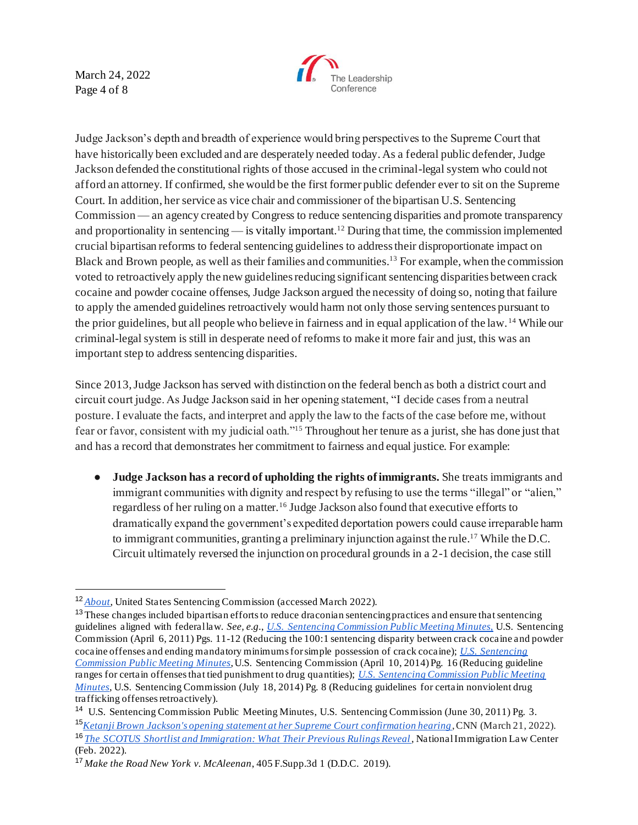March 24, 2022 Page 4 of 8



Judge Jackson's depth and breadth of experience would bring perspectives to the Supreme Court that have historically been excluded and are desperately needed today. As a federal public defender, Judge Jackson defended the constitutional rights of those accused in the criminal-legal system who could not afford an attorney. If confirmed, she would be the first former public defender ever to sit on the Supreme Court. In addition, her service as vice chair and commissioner of the bipartisan U.S. Sentencing Commission — an agency created by Congress to reduce sentencing disparities and promote transparency and proportionality in sentencing — is vitally important.<sup>12</sup> During that time, the commission implemented crucial bipartisan reforms to federal sentencing guidelines to address their disproportionate impact on Black and Brown people, as well as their families and communities.<sup>13</sup> For example, when the commission voted to retroactively apply the new guidelines reducing significant sentencing disparities between crack cocaine and powder cocaine offenses, Judge Jackson argued the necessity of doing so, noting that failure to apply the amended guidelines retroactively would harm not only those serving sentences pursuant to the prior guidelines, but all people who believe in fairness and in equal application of the law. <sup>14</sup> While our criminal-legal system is still in desperate need of reforms to make it more fair and just, this was an important step to address sentencing disparities.

Since 2013, Judge Jackson has served with distinction on the federal bench as both a district court and circuit court judge. As Judge Jackson said in her opening statement, "I decide cases from a neutral posture. I evaluate the facts, and interpret and apply the law to the facts of the case before me, without fear or favor, consistent with my judicial oath."<sup>15</sup> Throughout her tenure as a jurist, she has done just that and has a record that demonstrates her commitment to fairness and equal justice. For example:

● **Judge Jackson has a record of upholding the rights of immigrants.** She treats immigrants and immigrant communities with dignity and respect by refusing to use the terms "illegal" or "alien," regardless of her ruling on a matter.<sup>16</sup> Judge Jackson also found that executive efforts to dramatically expand the government's expedited deportation powers could cause irreparable harm to immigrant communities, granting a preliminary injunction against the rule.<sup>17</sup> While the D.C. Circuit ultimately reversed the injunction on procedural grounds in a 2-1 decision, the case still

<sup>12</sup> *About*, United States Sentencing Commission (accessed March 2022).

<sup>&</sup>lt;sup>13</sup> These changes included bipartisan efforts to reduce draconian sentencing practices and ensure that sentencing guidelines aligned with federal law. *See, e.g.*, *U.S. Sentencing Commission Public Meeting Minutes,* U.S. Sentencing Commission (April 6, 2011) Pgs. 11-12 (Reducing the 100:1 sentencing disparity between crack cocaine and powder cocaine offenses and ending mandatory minimums for simple possession of crack cocaine); *U.S. Sentencing Commission Public Meeting Minutes*, U.S. Sentencing Commission (April 10, 2014) Pg. 16 (Reducing guideline ranges for certain offenses that tied punishment to drug quantities); *U.S. Sentencing Commission Public Meeting Minutes*, U.S. Sentencing Commission (July 18, 2014) Pg. 8 (Reducing guidelines for certain nonviolent drug trafficking offenses retroactively).

<sup>14</sup> U.S. Sentencing Commission Public Meeting Minutes, U.S. Sentencing Commission (June 30, 2011) Pg. 3. <sup>15</sup>*Ketanji Brown Jackson's opening statement at her Supreme Court confirmation hearing*, CNN (March 21, 2022). <sup>16</sup> *The SCOTUS Shortlist and Immigration: What Their Previous Rulings Reveal*, National Immigration Law Center (Feb. 2022).

<sup>17</sup> *Make the Road New York v. McAleenan*, 405 F.Supp.3d 1 (D.D.C. 2019).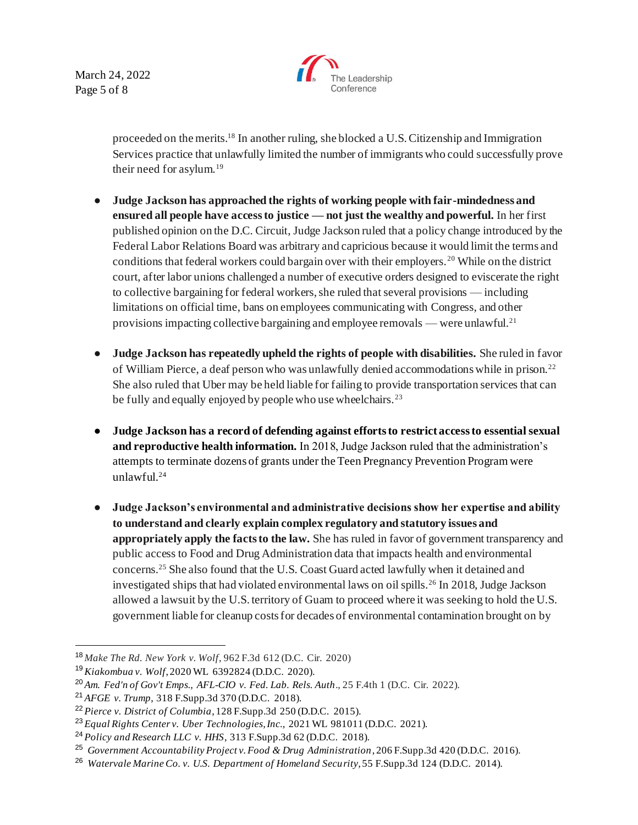March 24, 2022 Page 5 of 8



proceeded on the merits.<sup>18</sup> In another ruling, she blocked a U.S. Citizenship and Immigration Services practice that unlawfully limited the number of immigrants who could successfully prove their need for asylum.<sup>19</sup>

- **Judge Jackson has approached the rights of working people with fair-mindedness and ensured all people have access to justice — not just the wealthy and powerful.** In her first published opinion on the D.C. Circuit, Judge Jackson ruled that a policy change introduced by the Federal Labor Relations Board was arbitrary and capricious because it would limit the terms and conditions that federal workers could bargain over with their employers. <sup>20</sup> While on the district court, after labor unions challenged a number of executive orders designed to eviscerate the right to collective bargaining for federal workers, she ruled that several provisions — including limitations on official time, bans on employees communicating with Congress, and other provisions impacting collective bargaining and employee removals — were unlawful.<sup>21</sup>
- **Judge Jackson has repeatedly upheld the rights of people with disabilities.** She ruled in favor of William Pierce, a deaf person who was unlawfully denied accommodations while in prison.<sup>22</sup> She also ruled that Uber may be held liable for failing to provide transportation services that can be fully and equally enjoyed by people who use wheelchairs.<sup>23</sup>
- **Judge Jackson has a record of defending against efforts to restrict access to essential sexual and reproductive health information.** In 2018, Judge Jackson ruled that the administration's attempts to terminate dozens of grants under the Teen Pregnancy Prevention Program were unlawful.<sup>24</sup>
- **Judge Jackson's environmental and administrative decisions show her expertise and ability to understand and clearly explain complex regulatory and statutory issues and appropriately apply the facts to the law.** She has ruled in favor of government transparency and public access to Food and Drug Administration data that impacts health and environmental concerns.<sup>25</sup> She also found that the U.S. Coast Guard acted lawfully when it detained and investigated ships that had violated environmental laws on oil spills.<sup>26</sup> In 2018, Judge Jackson allowed a lawsuit by the U.S. territory of Guam to proceed where it was seeking to hold the U.S. government liable for cleanup costs for decades of environmental contamination brought on by

<sup>18</sup> *Make The Rd. New York v. Wolf*, 962 F.3d 612 (D.C. Cir. 2020)

<sup>19</sup>*Kiakombua v. Wolf*, 2020 WL 6392824 (D.D.C. 2020).

<sup>20</sup> *Am. Fed'n of Gov't Emps., AFL-CIO v. Fed. Lab. Rels. Auth*., 25 F.4th 1 (D.C. Cir. 2022).

<sup>21</sup> *AFGE v. Trump*, 318 F.Supp.3d 370 (D.D.C. 2018).

<sup>22</sup> *Pierce v. District of Columbia*, 128 F.Supp.3d 250 (D.D.C. 2015).

<sup>23</sup> *Equal Rights Center v. Uber Technologies, Inc.,* 2021 WL 981011 (D.D.C. 2021).

<sup>24</sup> *Policy and Research LLC v. HHS*, 313 F.Supp.3d 62 (D.D.C. 2018).

<sup>25</sup> *Government Accountability Project v. Food & Drug Administration*, 206 F.Supp.3d 420 (D.D.C. 2016).

<sup>26</sup> *Watervale Marine Co. v. U.S. Department of Homeland Security,* 55 F.Supp.3d 124 (D.D.C. 2014).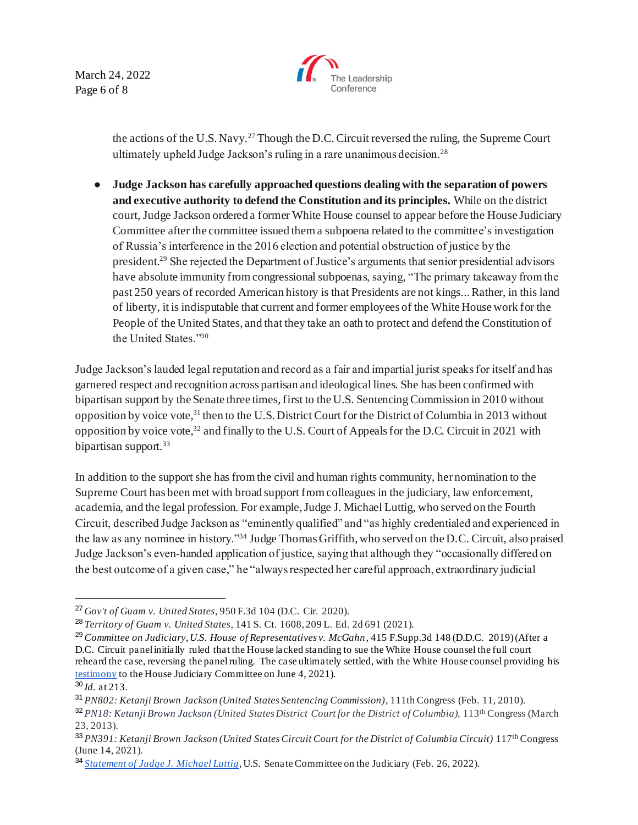March 24, 2022 Page 6 of 8



the actions of the U.S. Navy.<sup>27</sup> Though the D.C. Circuit reversed the ruling, the Supreme Court ultimately upheld Judge Jackson's ruling in a rare unanimous decision.<sup>28</sup>

● **Judge Jackson has carefully approached questions dealing with the separation of powers and executive authority to defend the Constitution and its principles.** While on the district court, Judge Jackson ordered a former White House counsel to appear before the House Judiciary Committee after the committee issued them a subpoena related to the committee's investigation of Russia's interference in the 2016 election and potential obstruction of justice by the president.<sup>29</sup> She rejected the Department of Justice's arguments that senior presidential advisors have absolute immunity from congressional subpoenas, saying, "The primary takeaway from the past 250 years of recorded American history is that Presidents are not kings... Rather, in this land of liberty, it is indisputable that current and former employees of the White House work for the People of the United States, and that they take an oath to protect and defend the Constitution of the United States."<sup>30</sup>

Judge Jackson's lauded legal reputation and record as a fair and impartial jurist speaks for itself and has garnered respect and recognition across partisan and ideological lines. She has been confirmed with bipartisan support by the Senate three times, first to the U.S. Sentencing Commission in 2010 without opposition by voice vote,<sup>31</sup> then to the U.S. District Court for the District of Columbia in 2013 without opposition by voice vote,<sup>32</sup> and finally to the U.S. Court of Appeals for the D.C. Circuit in 2021 with bipartisan support.<sup>33</sup>

In addition to the support she has from the civil and human rights community, her nomination to the Supreme Court has been met with broad support from colleagues in the judiciary, law enforcement, academia, and the legal profession. For example, Judge J. Michael Luttig, who served on the Fourth Circuit, described Judge Jackson as "eminently qualified" and "as highly credentialed and experienced in the law as any nominee in history."<sup>34</sup> Judge Thomas Griffith, who served on the D.C. Circuit, also praised Judge Jackson's even-handed application of justice, saying that although they "occasionally differed on the best outcome of a given case," he "always respected her careful approach, extraordinary judicial

<sup>27</sup> *Gov't of Guam v. United States*, 950 F.3d 104 (D.C. Cir. 2020).

<sup>28</sup> *Territory of Guam v. United States*, 141 S. Ct. 1608, 209 L. Ed. 2d 691 (2021).

<sup>29</sup>*Committee on Judiciary, U.S. House of Representatives v. McGahn*, 415 F.Supp.3d 148 (D.D.C. 2019) (After a D.C. Circuit panel initially ruled that the House lacked standing to sue the White House counsel the full court reheard the case, reversing the panel ruling. The case ultimately settled, with the White House counsel providing his testimony to the House Judiciary Committee on June 4, 2021).

<sup>30</sup> *Id*. at 213.

<sup>31</sup> *PN802: Ketanji Brown Jackson (United States Sentencing Commission)*, 111th Congress (Feb. 11, 2010).

<sup>32</sup> *PN18: Ketanji Brown Jackson (United States District Court for the District of Columbia),* 113th Congress (March 23, 2013).

<sup>33</sup> *PN391: Ketanji Brown Jackson (United States Circuit Court for the District of Columbia Circuit)* 117th Congress (June 14, 2021).

<sup>34</sup> *Statement of Judge J. Michael Luttig*, U.S. Senate Committee on the Judiciary (Feb. 26, 2022).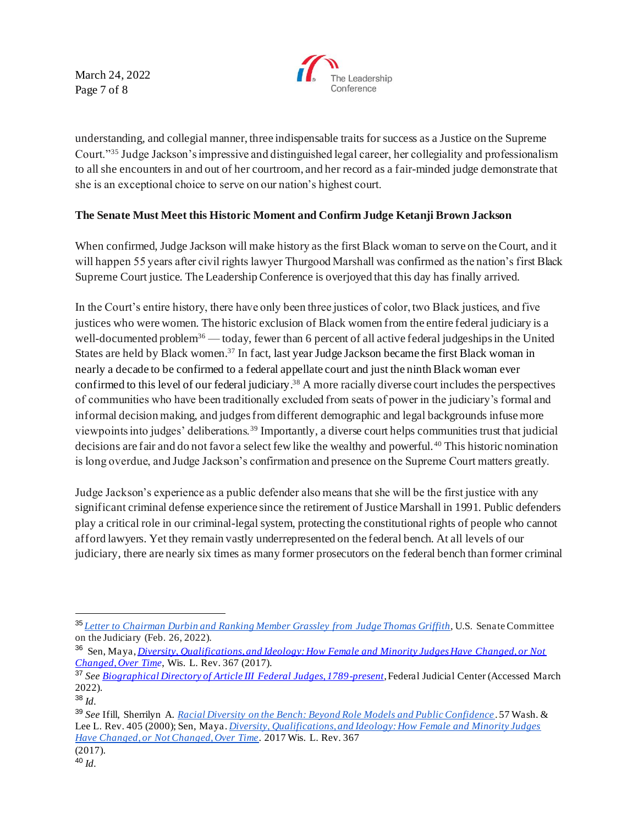March 24, 2022 Page 7 of 8



understanding, and collegial manner, three indispensable traits for success as a Justice on the Supreme Court."<sup>35</sup> Judge Jackson's impressive and distinguished legal career, her collegiality and professionalism to all she encounters in and out of her courtroom, and her record as a fair-minded judge demonstrate that she is an exceptional choice to serve on our nation's highest court.

# **The Senate Must Meet this Historic Moment and Confirm Judge Ketanji Brown Jackson**

When confirmed, Judge Jackson will make history as the first Black woman to serve on the Court, and it will happen 55 years after civil rights lawyer Thurgood Marshall was confirmed as the nation's first Black Supreme Court justice. The Leadership Conference is overjoyed that this day has finally arrived.

In the Court's entire history, there have only been three justices of color, two Black justices, and five justices who were women. The historic exclusion of Black women from the entire federal judiciary is a well-documented problem<sup>36</sup> — today, fewer than 6 percent of all active federal judgeships in the United States are held by Black women.<sup>37</sup> In fact, last year Judge Jackson became the first Black woman in nearly a decade to be confirmed to a federal appellate court and just the ninth Black woman ever confirmed to this level of our federal judiciary. <sup>38</sup> A more racially diverse court includes the perspectives of communities who have been traditionally excluded from seats of power in the judiciary's formal and informal decision making, and judges from different demographic and legal backgrounds infuse more viewpoints into judges' deliberations.<sup>39</sup> Importantly, a diverse court helps communities trust that judicial decisions are fair and do not favor a select few like the wealthy and powerful. <sup>40</sup> This historic nomination is long overdue, and Judge Jackson's confirmation and presence on the Supreme Court matters greatly.

Judge Jackson's experience as a public defender also means that she will be the first justice with any significant criminal defense experience since the retirement of Justice Marshall in 1991. Public defenders play a critical role in our criminal-legal system, protecting the constitutional rights of people who cannot afford lawyers. Yet they remain vastly underrepresented on the federal bench. At all levels of our judiciary, there are nearly six times as many former prosecutors on the federal bench than former criminal

<sup>35</sup> *Letter to Chairman Durbin and Ranking Member Grassley from Judge Thomas Griffith*, U.S. Senate Committee on the Judiciary (Feb. 26, 2022).

<sup>36</sup> Sen, Maya, *Diversity, Qualifications, and Ideology: How Female and Minority Judges Have Changed, or Not Changed, Over Time*, Wis. L. Rev. 367 (2017).

<sup>37</sup> *See Biographical Directory of Article III Federal Judges, 1789-present,* Federal Judicial Center (Accessed March 2022).

<sup>38</sup> *Id.*

<sup>39</sup> *See* Ifill, Sherrilyn A. *Racial Diversity on the Bench: Beyond Role Models and Public Confidence* . 57 Wash. & Lee L. Rev. 405 (2000); Sen, Maya. *Diversity, Qualifications, and Ideology: How Female and Minority Judges Have Changed, or Not Changed, Over Time*. 2017 Wis. L. Rev. 367 (2017).

<sup>40</sup> *Id.*